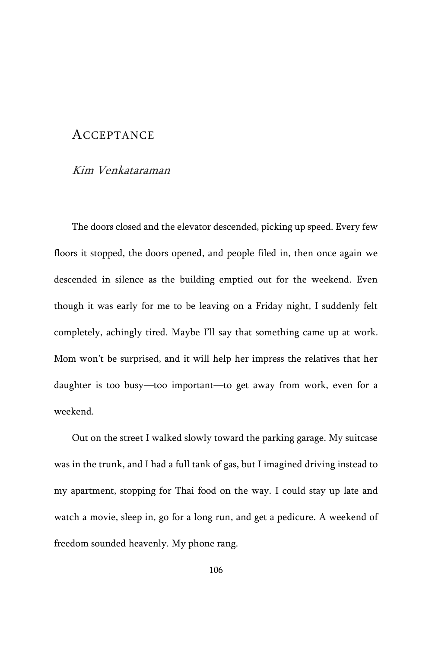## ACCEPTANCE

## Kim Venkataraman

The doors closed and the elevator descended, picking up speed. Every few floors it stopped, the doors opened, and people filed in, then once again we descended in silence as the building emptied out for the weekend. Even though it was early for me to be leaving on a Friday night, I suddenly felt completely, achingly tired. Maybe I'll say that something came up at work. Mom won't be surprised, and it will help her impress the relatives that her daughter is too busy—too important—to get away from work, even for a weekend.

Out on the street I walked slowly toward the parking garage. My suitcase was in the trunk, and I had a full tank of gas, but I imagined driving instead to my apartment, stopping for Thai food on the way. I could stay up late and watch a movie, sleep in, go for a long run, and get a pedicure. A weekend of freedom sounded heavenly. My phone rang.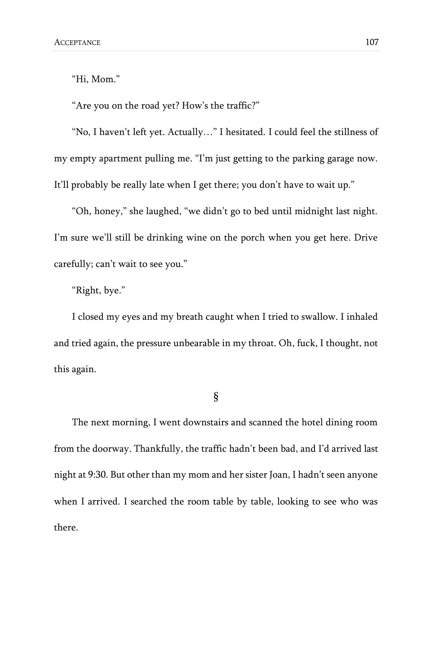"Hi, Mom."

"Are you on the road yet? How's the traffic?"

"No, I haven't left yet. Actually…" I hesitated. I could feel the stillness of my empty apartment pulling me. "I'm just getting to the parking garage now. It'll probably be really late when I get there; you don't have to wait up."

"Oh, honey," she laughed, "we didn't go to bed until midnight last night. I'm sure we'll still be drinking wine on the porch when you get here. Drive carefully; can't wait to see you."

"Right, bye."

I closed my eyes and my breath caught when I tried to swallow. I inhaled and tried again, the pressure unbearable in my throat. Oh, fuck, I thought, not this again.

§

The next morning, I went downstairs and scanned the hotel dining room from the doorway. Thankfully, the traffic hadn't been bad, and I'd arrived last night at 9:30. But other than my mom and her sister Joan, I hadn't seen anyone when I arrived. I searched the room table by table, looking to see who was there.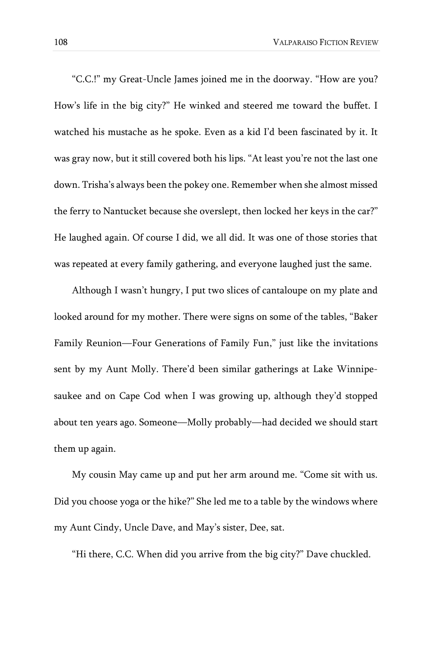"C.C.!" my Great-Uncle James joined me in the doorway. "How are you? How's life in the big city?" He winked and steered me toward the buffet. I watched his mustache as he spoke. Even as a kid I'd been fascinated by it. It was gray now, but it still covered both his lips. "At least you're not the last one down. Trisha's always been the pokey one. Remember when she almost missed the ferry to Nantucket because she overslept, then locked her keys in the car?" He laughed again. Of course I did, we all did. It was one of those stories that was repeated at every family gathering, and everyone laughed just the same.

Although I wasn't hungry, I put two slices of cantaloupe on my plate and looked around for my mother. There were signs on some of the tables, "Baker Family Reunion—Four Generations of Family Fun," just like the invitations sent by my Aunt Molly. There'd been similar gatherings at Lake Winnipesaukee and on Cape Cod when I was growing up, although they'd stopped about ten years ago. Someone—Molly probably—had decided we should start them up again.

My cousin May came up and put her arm around me. "Come sit with us. Did you choose yoga or the hike?" She led me to a table by the windows where my Aunt Cindy, Uncle Dave, and May's sister, Dee, sat.

"Hi there, C.C. When did you arrive from the big city?" Dave chuckled.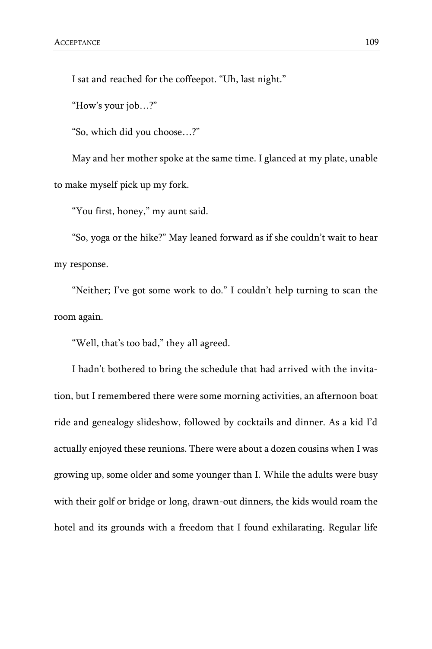I sat and reached for the coffeepot. "Uh, last night."

"How's your job…?"

"So, which did you choose…?"

May and her mother spoke at the same time. I glanced at my plate, unable to make myself pick up my fork.

"You first, honey," my aunt said.

"So, yoga or the hike?" May leaned forward as if she couldn't wait to hear my response.

"Neither; I've got some work to do." I couldn't help turning to scan the room again.

"Well, that's too bad," they all agreed.

I hadn't bothered to bring the schedule that had arrived with the invitation, but I remembered there were some morning activities, an afternoon boat ride and genealogy slideshow, followed by cocktails and dinner. As a kid I'd actually enjoyed these reunions. There were about a dozen cousins when I was growing up, some older and some younger than I. While the adults were busy with their golf or bridge or long, drawn-out dinners, the kids would roam the hotel and its grounds with a freedom that I found exhilarating. Regular life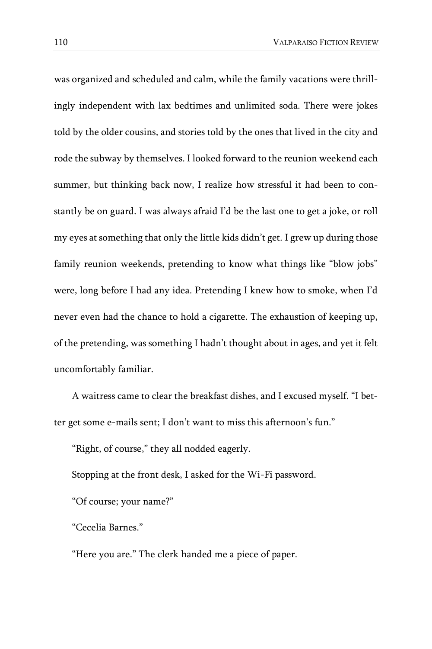was organized and scheduled and calm, while the family vacations were thrillingly independent with lax bedtimes and unlimited soda. There were jokes told by the older cousins, and stories told by the ones that lived in the city and rode the subway by themselves. I looked forward to the reunion weekend each summer, but thinking back now, I realize how stressful it had been to constantly be on guard. I was always afraid I'd be the last one to get a joke, or roll my eyes at something that only the little kids didn't get. I grew up during those family reunion weekends, pretending to know what things like "blow jobs" were, long before I had any idea. Pretending I knew how to smoke, when I'd never even had the chance to hold a cigarette. The exhaustion of keeping up, of the pretending, was something I hadn't thought about in ages, and yet it felt uncomfortably familiar.

A waitress came to clear the breakfast dishes, and I excused myself. "I better get some e-mails sent; I don't want to miss this afternoon's fun."

"Right, of course," they all nodded eagerly.

Stopping at the front desk, I asked for the Wi-Fi password.

"Of course; your name?"

"Cecelia Barnes."

"Here you are." The clerk handed me a piece of paper.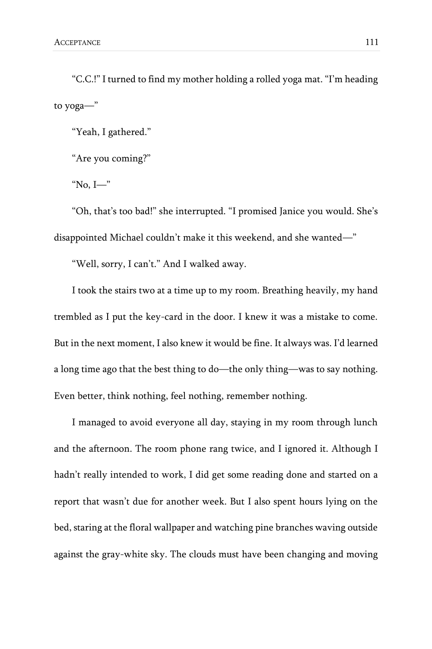"C.C.!" I turned to find my mother holding a rolled yoga mat. "I'm heading to yoga—"

"Yeah, I gathered."

"Are you coming?"

"No, I—"

"Oh, that's too bad!" she interrupted. "I promised Janice you would. She's disappointed Michael couldn't make it this weekend, and she wanted—"

"Well, sorry, I can't." And I walked away.

I took the stairs two at a time up to my room. Breathing heavily, my hand trembled as I put the key-card in the door. I knew it was a mistake to come. But in the next moment, I also knew it would be fine. It always was. I'd learned a long time ago that the best thing to do—the only thing—was to say nothing. Even better, think nothing, feel nothing, remember nothing.

I managed to avoid everyone all day, staying in my room through lunch and the afternoon. The room phone rang twice, and I ignored it. Although I hadn't really intended to work, I did get some reading done and started on a report that wasn't due for another week. But I also spent hours lying on the bed, staring at the floral wallpaper and watching pine branches waving outside against the gray-white sky. The clouds must have been changing and moving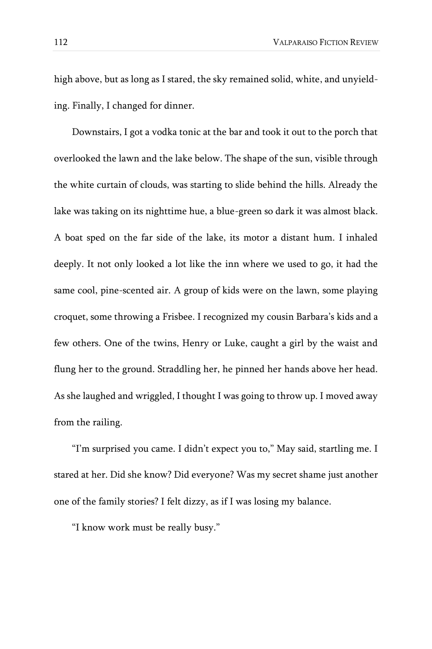high above, but as long as I stared, the sky remained solid, white, and unyielding. Finally, I changed for dinner.

Downstairs, I got a vodka tonic at the bar and took it out to the porch that overlooked the lawn and the lake below. The shape of the sun, visible through the white curtain of clouds, was starting to slide behind the hills. Already the lake was taking on its nighttime hue, a blue-green so dark it was almost black. A boat sped on the far side of the lake, its motor a distant hum. I inhaled deeply. It not only looked a lot like the inn where we used to go, it had the same cool, pine-scented air. A group of kids were on the lawn, some playing croquet, some throwing a Frisbee. I recognized my cousin Barbara's kids and a few others. One of the twins, Henry or Luke, caught a girl by the waist and flung her to the ground. Straddling her, he pinned her hands above her head. As she laughed and wriggled, I thought I was going to throw up. I moved away from the railing.

"I'm surprised you came. I didn't expect you to," May said, startling me. I stared at her. Did she know? Did everyone? Was my secret shame just another one of the family stories? I felt dizzy, as if I was losing my balance.

"I know work must be really busy."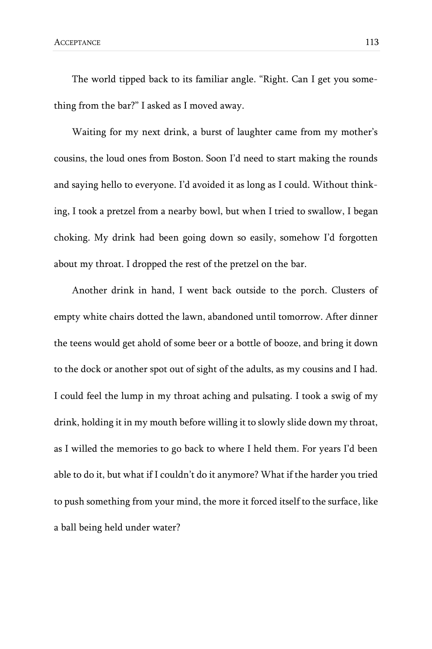The world tipped back to its familiar angle. "Right. Can I get you something from the bar?" I asked as I moved away.

Waiting for my next drink, a burst of laughter came from my mother's cousins, the loud ones from Boston. Soon I'd need to start making the rounds and saying hello to everyone. I'd avoided it as long as I could. Without thinking, I took a pretzel from a nearby bowl, but when I tried to swallow, I began choking. My drink had been going down so easily, somehow I'd forgotten about my throat. I dropped the rest of the pretzel on the bar.

Another drink in hand, I went back outside to the porch. Clusters of empty white chairs dotted the lawn, abandoned until tomorrow. After dinner the teens would get ahold of some beer or a bottle of booze, and bring it down to the dock or another spot out of sight of the adults, as my cousins and I had. I could feel the lump in my throat aching and pulsating. I took a swig of my drink, holding it in my mouth before willing it to slowly slide down my throat, as I willed the memories to go back to where I held them. For years I'd been able to do it, but what if I couldn't do it anymore? What if the harder you tried to push something from your mind, the more it forced itself to the surface, like a ball being held under water?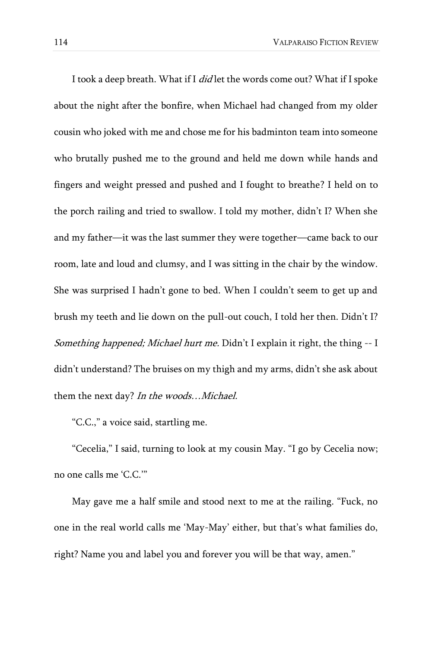I took a deep breath. What if I *did* let the words come out? What if I spoke about the night after the bonfire, when Michael had changed from my older cousin who joked with me and chose me for his badminton team into someone who brutally pushed me to the ground and held me down while hands and fingers and weight pressed and pushed and I fought to breathe? I held on to the porch railing and tried to swallow. I told my mother, didn't I? When she and my father—it was the last summer they were together—came back to our room, late and loud and clumsy, and I was sitting in the chair by the window. She was surprised I hadn't gone to bed. When I couldn't seem to get up and brush my teeth and lie down on the pull-out couch, I told her then. Didn't I? Something happened; Michael hurt me. Didn't I explain it right, the thing -- I didn't understand? The bruises on my thigh and my arms, didn't she ask about them the next day? In the woods...Michael.

"C.C.," a voice said, startling me.

"Cecelia," I said, turning to look at my cousin May. "I go by Cecelia now; no one calls me 'C.C.'"

May gave me a half smile and stood next to me at the railing. "Fuck, no one in the real world calls me 'May-May' either, but that's what families do, right? Name you and label you and forever you will be that way, amen."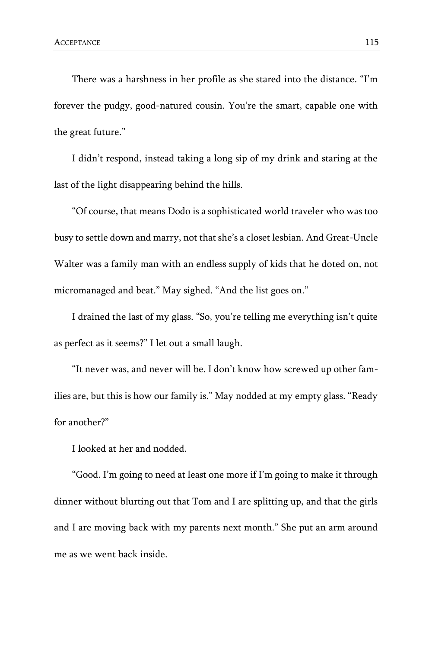There was a harshness in her profile as she stared into the distance. "I'm forever the pudgy, good-natured cousin. You're the smart, capable one with the great future."

I didn't respond, instead taking a long sip of my drink and staring at the last of the light disappearing behind the hills.

"Of course, that means Dodo is a sophisticated world traveler who was too busy to settle down and marry, not that she's a closet lesbian. And Great-Uncle Walter was a family man with an endless supply of kids that he doted on, not micromanaged and beat." May sighed. "And the list goes on."

I drained the last of my glass. "So, you're telling me everything isn't quite as perfect as it seems?" I let out a small laugh.

"It never was, and never will be. I don't know how screwed up other families are, but this is how our family is." May nodded at my empty glass. "Ready for another?"

I looked at her and nodded.

"Good. I'm going to need at least one more if I'm going to make it through dinner without blurting out that Tom and I are splitting up, and that the girls and I are moving back with my parents next month." She put an arm around me as we went back inside.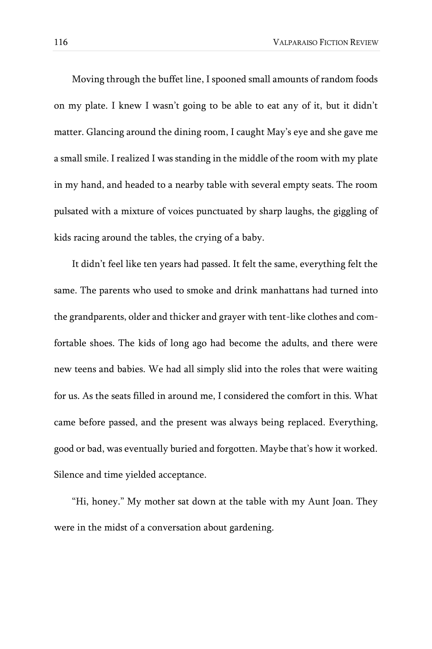Moving through the buffet line, I spooned small amounts of random foods on my plate. I knew I wasn't going to be able to eat any of it, but it didn't matter. Glancing around the dining room, I caught May's eye and she gave me a small smile. I realized I was standing in the middle of the room with my plate in my hand, and headed to a nearby table with several empty seats. The room pulsated with a mixture of voices punctuated by sharp laughs, the giggling of kids racing around the tables, the crying of a baby.

It didn't feel like ten years had passed. It felt the same, everything felt the same. The parents who used to smoke and drink manhattans had turned into the grandparents, older and thicker and grayer with tent-like clothes and comfortable shoes. The kids of long ago had become the adults, and there were new teens and babies. We had all simply slid into the roles that were waiting for us. As the seats filled in around me, I considered the comfort in this. What came before passed, and the present was always being replaced. Everything, good or bad, was eventually buried and forgotten. Maybe that's how it worked. Silence and time yielded acceptance.

"Hi, honey." My mother sat down at the table with my Aunt Joan. They were in the midst of a conversation about gardening.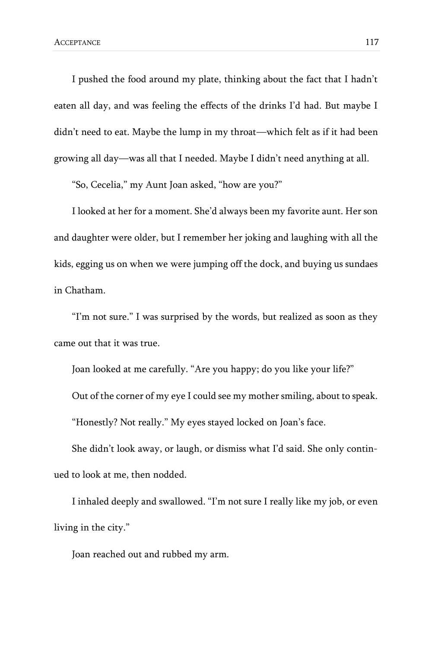I pushed the food around my plate, thinking about the fact that I hadn't eaten all day, and was feeling the effects of the drinks I'd had. But maybe I didn't need to eat. Maybe the lump in my throat—which felt as if it had been growing all day—was all that I needed. Maybe I didn't need anything at all.

"So, Cecelia," my Aunt Joan asked, "how are you?"

I looked at her for a moment. She'd always been my favorite aunt. Her son and daughter were older, but I remember her joking and laughing with all the kids, egging us on when we were jumping off the dock, and buying us sundaes in Chatham.

"I'm not sure." I was surprised by the words, but realized as soon as they came out that it was true.

Joan looked at me carefully. "Are you happy; do you like your life?"

Out of the corner of my eye I could see my mother smiling, about to speak.

"Honestly? Not really." My eyes stayed locked on Joan's face.

She didn't look away, or laugh, or dismiss what I'd said. She only continued to look at me, then nodded.

I inhaled deeply and swallowed. "I'm not sure I really like my job, or even living in the city."

Joan reached out and rubbed my arm.